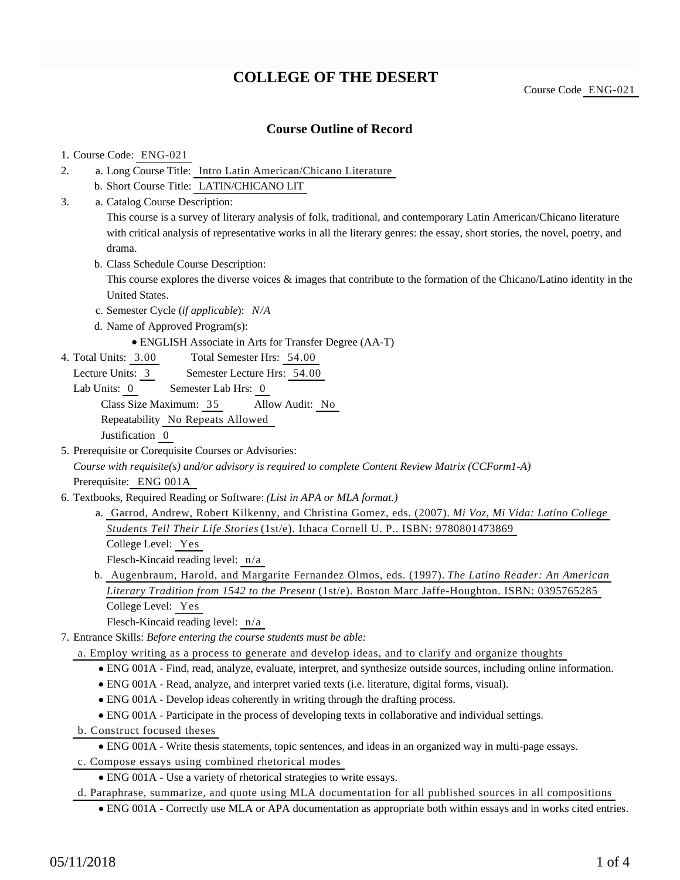# **COLLEGE OF THE DESERT**

Course Code ENG-021

### **Course Outline of Record**

#### 1. Course Code: ENG-021

- a. Long Course Title: Intro Latin American/Chicano Literature 2.
	- b. Short Course Title: LATIN/CHICANO LIT
- Catalog Course Description: a. 3.

This course is a survey of literary analysis of folk, traditional, and contemporary Latin American/Chicano literature with critical analysis of representative works in all the literary genres: the essay, short stories, the novel, poetry, and drama.

b. Class Schedule Course Description:

This course explores the diverse voices & images that contribute to the formation of the Chicano/Latino identity in the United States.

- c. Semester Cycle (*if applicable*): *N/A*
- d. Name of Approved Program(s):
	- ENGLISH Associate in Arts for Transfer Degree (AA-T)
- Total Semester Hrs: 54.00 4. Total Units: 3.00
	- Lecture Units: 3 Semester Lecture Hrs: 54.00
	- Lab Units: 0 Semester Lab Hrs: 0

Class Size Maximum: 35 Allow Audit: No

Repeatability No Repeats Allowed

Justification 0

5. Prerequisite or Corequisite Courses or Advisories:

*Course with requisite(s) and/or advisory is required to complete Content Review Matrix (CCForm1-A)* Prerequisite: ENG 001A

- 6. Textbooks, Required Reading or Software: (List in APA or MLA format.)
	- a. Garrod, Andrew, Robert Kilkenny, and Christina Gomez, eds. (2007). *Mi Voz, Mi Vida: Latino College Students Tell Their Life Stories* (1st/e). Ithaca Cornell U. P.. ISBN: 9780801473869 College Level: Yes

Flesch-Kincaid reading level: n/a

b. Augenbraum, Harold, and Margarite Fernandez Olmos, eds. (1997). *The Latino Reader: An American Literary Tradition from 1542 to the Present* (1st/e). Boston Marc Jaffe-Houghton. ISBN: 0395765285 College Level: Yes

Flesch-Kincaid reading level: n/a

- Entrance Skills: *Before entering the course students must be able:* 7.
	- a. Employ writing as a process to generate and develop ideas, and to clarify and organize thoughts
		- ENG 001A Find, read, analyze, evaluate, interpret, and synthesize outside sources, including online information.
		- ENG 001A Read, analyze, and interpret varied texts (i.e. literature, digital forms, visual).
		- ENG 001A Develop ideas coherently in writing through the drafting process.
		- ENG 001A Participate in the process of developing texts in collaborative and individual settings.
	- b. Construct focused theses
		- ENG 001A Write thesis statements, topic sentences, and ideas in an organized way in multi-page essays.
	- c. Compose essays using combined rhetorical modes
		- ENG 001A Use a variety of rhetorical strategies to write essays.
	- d. Paraphrase, summarize, and quote using MLA documentation for all published sources in all compositions
		- ENG 001A Correctly use MLA or APA documentation as appropriate both within essays and in works cited entries.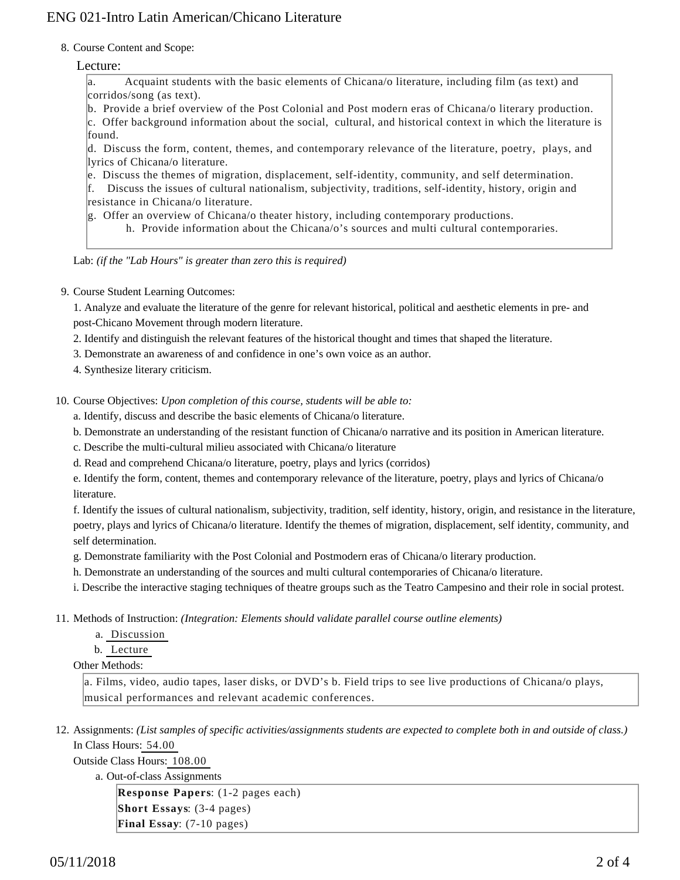## ENG 021-Intro Latin American/Chicano Literature

8. Course Content and Scope:

#### Lecture:

a. Acquaint students with the basic elements of Chicana/o literature, including film (as text) and corridos/song (as text).

b. Provide a brief overview of the Post Colonial and Post modern eras of Chicana/o literary production.

 $|c$ . Offer background information about the social, cultural, and historical context in which the literature is found.

d. Discuss the form, content, themes, and contemporary relevance of the literature, poetry, plays, and lyrics of Chicana/o literature.

e. Discuss the themes of migration, displacement, self-identity, community, and self determination.

f. Discuss the issues of cultural nationalism, subjectivity, traditions, self-identity, history, origin and resistance in Chicana/o literature.

g. Offer an overview of Chicana/o theater history, including contemporary productions.

h. Provide information about the Chicana/o's sources and multi cultural contemporaries.

Lab: *(if the "Lab Hours" is greater than zero this is required)*

9. Course Student Learning Outcomes:

1. Analyze and evaluate the literature of the genre for relevant historical, political and aesthetic elements in pre- and post-Chicano Movement through modern literature.

2. Identify and distinguish the relevant features of the historical thought and times that shaped the literature.

3. Demonstrate an awareness of and confidence in one's own voice as an author.

4. Synthesize literary criticism.

10. Course Objectives: Upon completion of this course, students will be able to:

a. Identify, discuss and describe the basic elements of Chicana/o literature.

b. Demonstrate an understanding of the resistant function of Chicana/o narrative and its position in American literature.

c. Describe the multi-cultural milieu associated with Chicana/o literature

d. Read and comprehend Chicana/o literature, poetry, plays and lyrics (corridos)

e. Identify the form, content, themes and contemporary relevance of the literature, poetry, plays and lyrics of Chicana/o literature.

f. Identify the issues of cultural nationalism, subjectivity, tradition, self identity, history, origin, and resistance in the literature, poetry, plays and lyrics of Chicana/o literature. Identify the themes of migration, displacement, self identity, community, and self determination.

g. Demonstrate familiarity with the Post Colonial and Postmodern eras of Chicana/o literary production.

h. Demonstrate an understanding of the sources and multi cultural contemporaries of Chicana/o literature.

i. Describe the interactive staging techniques of theatre groups such as the Teatro Campesino and their role in social protest.

- 11. Methods of Instruction: *(Integration: Elements should validate parallel course outline elements)* 
	- a. Discussion

b. Lecture

Other Methods:

a. Films, video, audio tapes, laser disks, or DVD's b. Field trips to see live productions of Chicana/o plays, musical performances and relevant academic conferences.

12. Assignments: (List samples of specific activities/assignments students are expected to complete both in and outside of class.) In Class Hours: 54.00

Outside Class Hours: 108.00

a. Out-of-class Assignments

**Response Papers**: (1-2 pages each) **Short Essays**: (3-4 pages) **Final Essay**: (7-10 pages)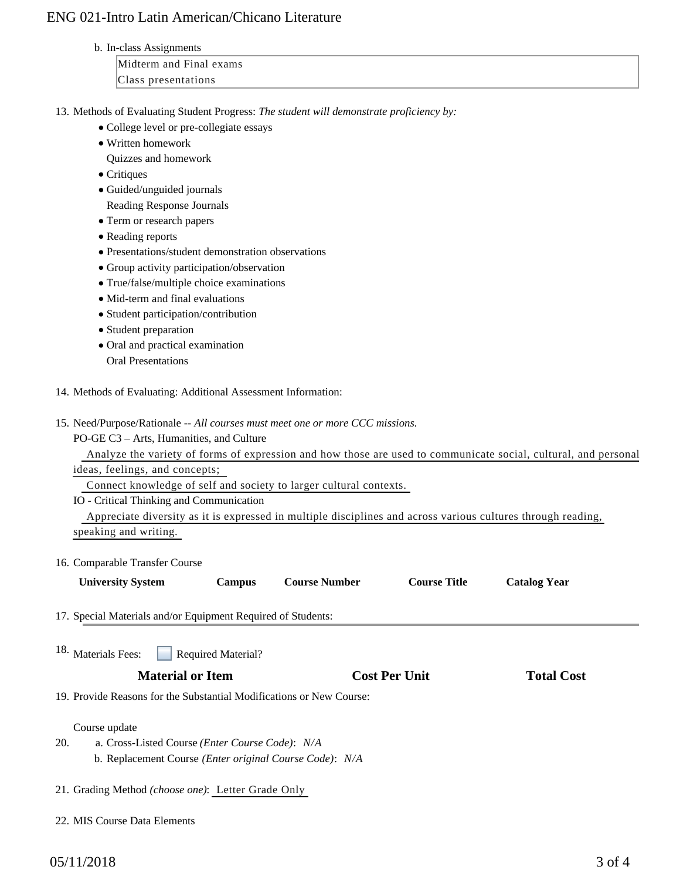## ENG 021-Intro Latin American/Chicano Literature

b. In-class Assignments

Midterm and Final exams Class presentations

- 13. Methods of Evaluating Student Progress: The student will demonstrate proficiency by:
	- College level or pre-collegiate essays
	- Written homework

Quizzes and homework

- Critiques
- Guided/unguided journals

Reading Response Journals

- Term or research papers
- Reading reports
- Presentations/student demonstration observations
- Group activity participation/observation
- True/false/multiple choice examinations
- Mid-term and final evaluations
- Student participation/contribution
- Student preparation
- Oral and practical examination Oral Presentations
- 14. Methods of Evaluating: Additional Assessment Information:
- 15. Need/Purpose/Rationale -- All courses must meet one or more CCC missions.

PO-GE C3 – Arts, Humanities, and Culture

Analyze the variety of forms of expression and how those are used to communicate social, cultural, and personal

ideas, feelings, and concepts;

Connect knowledge of self and society to larger cultural contexts.

IO - Critical Thinking and Communication

 Appreciate diversity as it is expressed in multiple disciplines and across various cultures through reading, speaking and writing.

16. Comparable Transfer Course

| <b>University System</b> | Campus | <b>Course Number</b> | <b>Course Title</b> | <b>Catalog Year</b> |
|--------------------------|--------|----------------------|---------------------|---------------------|
|                          |        |                      |                     |                     |

17. Special Materials and/or Equipment Required of Students:

| 18. Materials Fees: | <b>Required Material?</b> |  |
|---------------------|---------------------------|--|
|---------------------|---------------------------|--|

#### **Material or Item Cost Per Unit Total Cost Per Unit Total Cost Per Unit Cost Per Unit Cost Per Unit Cost Per Unit Cost Per Unit Cost Per Unit Cost Per Unit Cost Per Unit Cost Per Unit Cost Per Unit Cost Per Unit Cost Per U**

19. Provide Reasons for the Substantial Modifications or New Course:

Course update

- a. Cross-Listed Course *(Enter Course Code)*: *N/A* b. Replacement Course *(Enter original Course Code)*: *N/A* 20.
- 21. Grading Method *(choose one)*: Letter Grade Only
- 22. MIS Course Data Elements